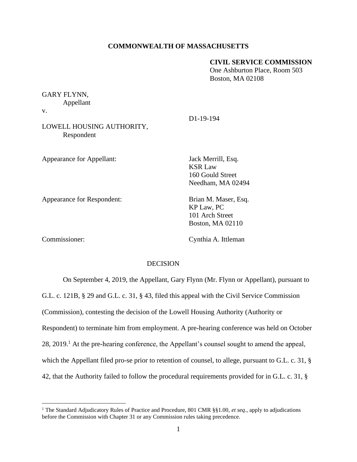## **COMMONWEALTH OF MASSACHUSETTS**

# **CIVIL SERVICE COMMISSION**

One Ashburton Place, Room 503 Boston, MA 02108

# GARY FLYNN,

Appellant

v.

# LOWELL HOUSING AUTHORITY, Respondent

Appearance for Appellant: Jack Merrill, Esq.

D1-19-194

KSR Law 160 Gould Street Needham, MA 02494

Appearance for Respondent: Brian M. Maser, Esq.

KP Law, PC 101 Arch Street Boston, MA 02110

Commissioner: Cynthia A. Ittleman

## DECISION

On September 4, 2019, the Appellant, Gary Flynn (Mr. Flynn or Appellant), pursuant to G.L. c. 121B, § 29 and G.L. c. 31, § 43, filed this appeal with the Civil Service Commission (Commission), contesting the decision of the Lowell Housing Authority (Authority or Respondent) to terminate him from employment. A pre-hearing conference was held on October 28, 2019.<sup>1</sup> At the pre-hearing conference, the Appellant's counsel sought to amend the appeal, which the Appellant filed pro-se prior to retention of counsel, to allege, pursuant to G.L. c. 31,  $\S$ 42, that the Authority failed to follow the procedural requirements provided for in G.L. c. 31, §

<sup>1</sup> The Standard Adjudicatory Rules of Practice and Procedure, 801 CMR §§1.00, *et seq*., apply to adjudications before the Commission with Chapter 31 or any Commission rules taking precedence.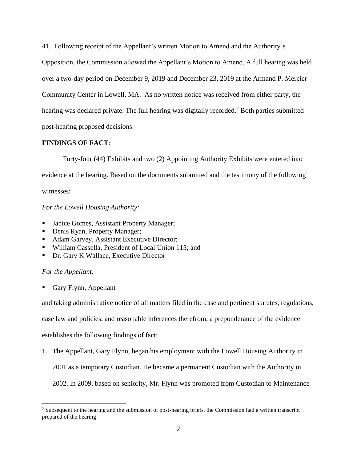41. Following receipt of the Appellant's written Motion to Amend and the Authority's

Opposition, the Commission allowed the Appellant's Motion to Amend. A full hearing was held over a two-day period on December 9, 2019 and December 23, 2019 at the Armand P. Mercier Community Center in Lowell, MA. As no written notice was received from either party, the hearing was declared private. The full hearing was digitally recorded.<sup>2</sup> Both parties submitted post-hearing proposed decisions.

# **FINDINGS OF FACT**:

Forty-four (44) Exhibits and two (2) Appointing Authority Exhibits were entered into evidence at the hearing. Based on the documents submitted and the testimony of the following witnesses:

# *For the Lowell Housing Authority:*

- Janice Gomes, Assistant Property Manager;
- Denis Ryan, Property Manager;
- Adam Garvey, Assistant Executive Director;
- William Cassella, President of Local Union 115; and
- Dr. Gary K Wallace, Executive Director

# *For the Appellant:*

Gary Flynn, Appellant

and taking administrative notice of all matters filed in the case and pertinent statutes, regulations,

case law and policies, and reasonable inferences therefrom, a preponderance of the evidence

establishes the following findings of fact:

1. The Appellant, Gary Flynn, began his employment with the Lowell Housing Authority in

2001 as a temporary Custodian. He became a permanent Custodian with the Authority in

2002. In 2009, based on seniority, Mr. Flynn was promoted from Custodian to Maintenance

<sup>&</sup>lt;sup>2</sup> Subsequent to the hearing and the submission of post-hearing briefs, the Commission had a written transcript prepared of the hearing.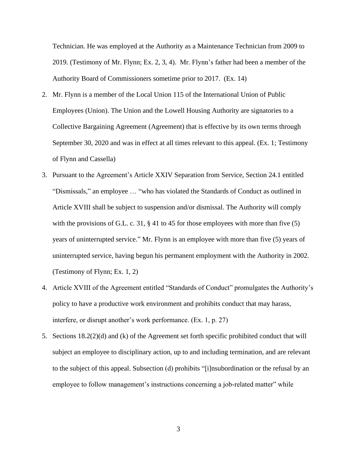Technician. He was employed at the Authority as a Maintenance Technician from 2009 to 2019. (Testimony of Mr. Flynn; Ex. 2, 3, 4). Mr. Flynn's father had been a member of the Authority Board of Commissioners sometime prior to 2017. (Ex. 14)

- 2. Mr. Flynn is a member of the Local Union 115 of the International Union of Public Employees (Union). The Union and the Lowell Housing Authority are signatories to a Collective Bargaining Agreement (Agreement) that is effective by its own terms through September 30, 2020 and was in effect at all times relevant to this appeal. (Ex. 1; Testimony of Flynn and Cassella)
- 3. Pursuant to the Agreement's Article XXIV Separation from Service, Section 24.1 entitled "Dismissals," an employee … "who has violated the Standards of Conduct as outlined in Article XVIII shall be subject to suspension and/or dismissal. The Authority will comply with the provisions of G.L. c. 31, § 41 to 45 for those employees with more than five (5) years of uninterrupted service." Mr. Flynn is an employee with more than five (5) years of uninterrupted service, having begun his permanent employment with the Authority in 2002. (Testimony of Flynn; Ex. 1, 2)
- 4. Article XVIII of the Agreement entitled "Standards of Conduct" promulgates the Authority's policy to have a productive work environment and prohibits conduct that may harass, interfere, or disrupt another's work performance. (Ex. 1, p. 27)
- 5. Sections 18.2(2)(d) and (k) of the Agreement set forth specific prohibited conduct that will subject an employee to disciplinary action, up to and including termination, and are relevant to the subject of this appeal. Subsection (d) prohibits "[i]nsubordination or the refusal by an employee to follow management's instructions concerning a job-related matter" while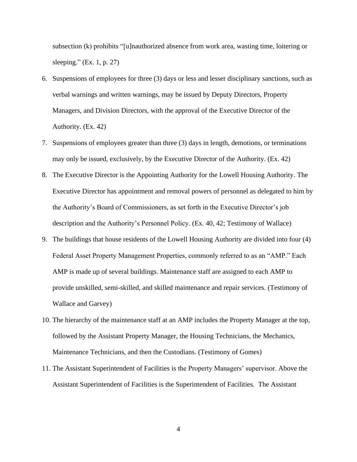subsection (k) prohibits "[u]nauthorized absence from work area, wasting time, loitering or sleeping." (Ex. 1, p. 27)

- 6. Suspensions of employees for three (3) days or less and lesser disciplinary sanctions, such as verbal warnings and written warnings, may be issued by Deputy Directors, Property Managers, and Division Directors, with the approval of the Executive Director of the Authority. (Ex. 42)
- 7. Suspensions of employees greater than three (3) days in length, demotions, or terminations may only be issued, exclusively, by the Executive Director of the Authority. (Ex. 42)
- 8. The Executive Director is the Appointing Authority for the Lowell Housing Authority. The Executive Director has appointment and removal powers of personnel as delegated to him by the Authority's Board of Commissioners, as set forth in the Executive Director's job description and the Authority's Personnel Policy. (Ex. 40, 42; Testimony of Wallace)
- 9. The buildings that house residents of the Lowell Housing Authority are divided into four (4) Federal Asset Property Management Properties, commonly referred to as an "AMP." Each AMP is made up of several buildings. Maintenance staff are assigned to each AMP to provide unskilled, semi-skilled, and skilled maintenance and repair services. (Testimony of Wallace and Garvey)
- 10. The hierarchy of the maintenance staff at an AMP includes the Property Manager at the top, followed by the Assistant Property Manager, the Housing Technicians, the Mechanics, Maintenance Technicians, and then the Custodians. (Testimony of Gomes)
- 11. The Assistant Superintendent of Facilities is the Property Managers' supervisor. Above the Assistant Superintendent of Facilities is the Superintendent of Facilities. The Assistant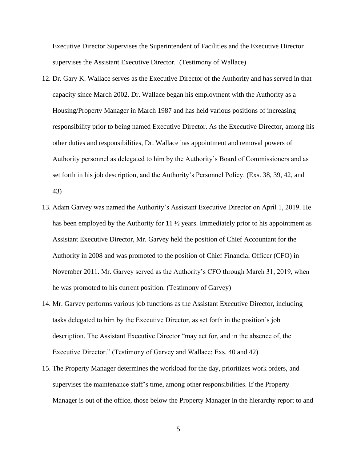Executive Director Supervises the Superintendent of Facilities and the Executive Director supervises the Assistant Executive Director. (Testimony of Wallace)

- 12. Dr. Gary K. Wallace serves as the Executive Director of the Authority and has served in that capacity since March 2002. Dr. Wallace began his employment with the Authority as a Housing/Property Manager in March 1987 and has held various positions of increasing responsibility prior to being named Executive Director. As the Executive Director, among his other duties and responsibilities, Dr. Wallace has appointment and removal powers of Authority personnel as delegated to him by the Authority's Board of Commissioners and as set forth in his job description, and the Authority's Personnel Policy. (Exs. 38, 39, 42, and 43)
- 13. Adam Garvey was named the Authority's Assistant Executive Director on April 1, 2019. He has been employed by the Authority for 11 ½ years. Immediately prior to his appointment as Assistant Executive Director, Mr. Garvey held the position of Chief Accountant for the Authority in 2008 and was promoted to the position of Chief Financial Officer (CFO) in November 2011. Mr. Garvey served as the Authority's CFO through March 31, 2019, when he was promoted to his current position. (Testimony of Garvey)
- 14. Mr. Garvey performs various job functions as the Assistant Executive Director, including tasks delegated to him by the Executive Director, as set forth in the position's job description. The Assistant Executive Director "may act for, and in the absence of, the Executive Director." (Testimony of Garvey and Wallace; Exs. 40 and 42)
- 15. The Property Manager determines the workload for the day, prioritizes work orders, and supervises the maintenance staff's time, among other responsibilities. If the Property Manager is out of the office, those below the Property Manager in the hierarchy report to and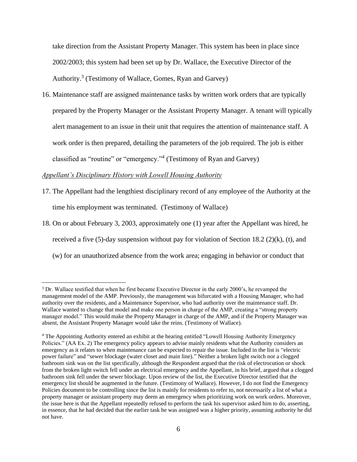take direction from the Assistant Property Manager. This system has been in place since 2002/2003; this system had been set up by Dr. Wallace, the Executive Director of the Authority.<sup>3</sup> (Testimony of Wallace, Gomes, Ryan and Garvey)

16. Maintenance staff are assigned maintenance tasks by written work orders that are typically prepared by the Property Manager or the Assistant Property Manager. A tenant will typically alert management to an issue in their unit that requires the attention of maintenance staff. A work order is then prepared, detailing the parameters of the job required. The job is either classified as "routine" or "emergency."<sup>4</sup> (Testimony of Ryan and Garvey)

# *Appellant's Disciplinary History with Lowell Housing Authority*

- 17. The Appellant had the lengthiest disciplinary record of any employee of the Authority at the time his employment was terminated. (Testimony of Wallace)
- 18. On or about February 3, 2003, approximately one (1) year after the Appellant was hired, he received a five  $(5)$ -day suspension without pay for violation of Section 18.2  $(2)(k)$ ,  $(t)$ , and (w) for an unauthorized absence from the work area; engaging in behavior or conduct that

<sup>3</sup> Dr. Wallace testified that when he first became Executive Director in the early 2000's, he revamped the management model of the AMP. Previously, the management was bifurcated with a Housing Manager, who had authority over the residents, and a Maintenance Supervisor, who had authority over the maintenance staff. Dr. Wallace wanted to change that model and make one person in charge of the AMP, creating a "strong property manager model." This would make the Property Manager in charge of the AMP, and if the Property Manager was absent, the Assistant Property Manager would take the reins. (Testimony of Wallace).

<sup>4</sup> The Appointing Authority entered an exhibit at the hearing entitled "Lowell Housing Authority Emergency Policies." (AA Ex. 2) The emergency policy appears to advise mainly residents what the Authority considers an emergency as it relates to when maintenance can be expected to repair the issue. Included in the list is "electric power failure" and "sewer blockage (water closet and main line)." Neither a broken light switch nor a clogged bathroom sink was on the list specifically, although the Respondent argued that the risk of electrocution or shock from the broken light switch fell under an electrical emergency and the Appellant, in his brief, argued that a clogged bathroom sink fell under the sewer blockage. Upon review of the list, the Executive Director testified that the emergency list should be augmented in the future. (Testimony of Wallace). However, I do not find the Emergency Policies document to be controlling since the list is mainly for residents to refer to, not necessarily a list of what a property manager or assistant property may deem an emergency when prioritizing work on work orders. Moreover, the issue here is that the Appellant repeatedly refused to perform the task his supervisor asked him to do, asserting, in essence, that he had decided that the earlier task he was assigned was a higher priority, assuming authority he did not have.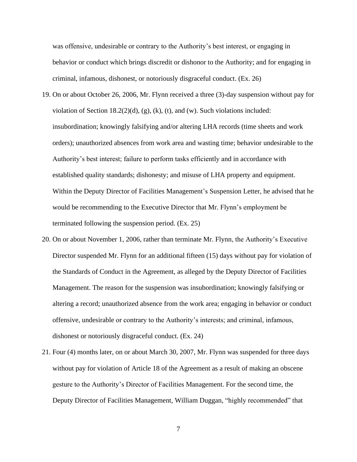was offensive, undesirable or contrary to the Authority's best interest, or engaging in behavior or conduct which brings discredit or dishonor to the Authority; and for engaging in criminal, infamous, dishonest, or notoriously disgraceful conduct. (Ex. 26)

- 19. On or about October 26, 2006, Mr. Flynn received a three (3)-day suspension without pay for violation of Section 18.2(2)(d), (g), (k), (t), and (w). Such violations included: insubordination; knowingly falsifying and/or altering LHA records (time sheets and work orders); unauthorized absences from work area and wasting time; behavior undesirable to the Authority's best interest; failure to perform tasks efficiently and in accordance with established quality standards; dishonesty; and misuse of LHA property and equipment. Within the Deputy Director of Facilities Management's Suspension Letter, he advised that he would be recommending to the Executive Director that Mr. Flynn's employment be terminated following the suspension period. (Ex. 25)
- 20. On or about November 1, 2006, rather than terminate Mr. Flynn, the Authority's Executive Director suspended Mr. Flynn for an additional fifteen (15) days without pay for violation of the Standards of Conduct in the Agreement, as alleged by the Deputy Director of Facilities Management. The reason for the suspension was insubordination; knowingly falsifying or altering a record; unauthorized absence from the work area; engaging in behavior or conduct offensive, undesirable or contrary to the Authority's interests; and criminal, infamous, dishonest or notoriously disgraceful conduct. (Ex. 24)
- 21. Four (4) months later, on or about March 30, 2007, Mr. Flynn was suspended for three days without pay for violation of Article 18 of the Agreement as a result of making an obscene gesture to the Authority's Director of Facilities Management. For the second time, the Deputy Director of Facilities Management, William Duggan, "highly recommended" that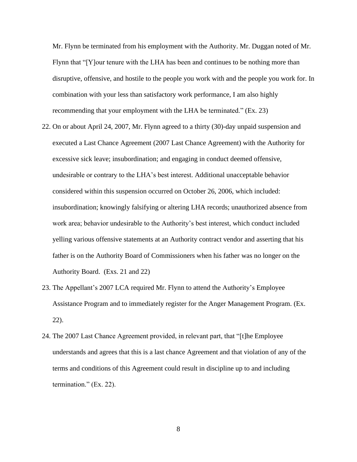Mr. Flynn be terminated from his employment with the Authority. Mr. Duggan noted of Mr. Flynn that "[Y]our tenure with the LHA has been and continues to be nothing more than disruptive, offensive, and hostile to the people you work with and the people you work for. In combination with your less than satisfactory work performance, I am also highly recommending that your employment with the LHA be terminated." (Ex. 23)

- 22. On or about April 24, 2007, Mr. Flynn agreed to a thirty (30)-day unpaid suspension and executed a Last Chance Agreement (2007 Last Chance Agreement) with the Authority for excessive sick leave; insubordination; and engaging in conduct deemed offensive, undesirable or contrary to the LHA's best interest. Additional unacceptable behavior considered within this suspension occurred on October 26, 2006, which included: insubordination; knowingly falsifying or altering LHA records; unauthorized absence from work area; behavior undesirable to the Authority's best interest, which conduct included yelling various offensive statements at an Authority contract vendor and asserting that his father is on the Authority Board of Commissioners when his father was no longer on the Authority Board. (Exs. 21 and 22)
- 23. The Appellant's 2007 LCA required Mr. Flynn to attend the Authority's Employee Assistance Program and to immediately register for the Anger Management Program. (Ex. 22).
- 24. The 2007 Last Chance Agreement provided, in relevant part, that "[t]he Employee understands and agrees that this is a last chance Agreement and that violation of any of the terms and conditions of this Agreement could result in discipline up to and including termination." (Ex. 22).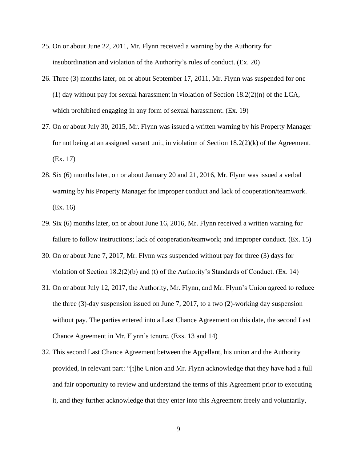- 25. On or about June 22, 2011, Mr. Flynn received a warning by the Authority for insubordination and violation of the Authority's rules of conduct. (Ex. 20)
- 26. Three (3) months later, on or about September 17, 2011, Mr. Flynn was suspended for one (1) day without pay for sexual harassment in violation of Section 18.2(2)(n) of the LCA, which prohibited engaging in any form of sexual harassment. (Ex. 19)
- 27. On or about July 30, 2015, Mr. Flynn was issued a written warning by his Property Manager for not being at an assigned vacant unit, in violation of Section  $18.2(2)(k)$  of the Agreement. (Ex. 17)
- 28. Six (6) months later, on or about January 20 and 21, 2016, Mr. Flynn was issued a verbal warning by his Property Manager for improper conduct and lack of cooperation/teamwork. (Ex. 16)
- 29. Six (6) months later, on or about June 16, 2016, Mr. Flynn received a written warning for failure to follow instructions; lack of cooperation/teamwork; and improper conduct. (Ex. 15)
- 30. On or about June 7, 2017, Mr. Flynn was suspended without pay for three (3) days for violation of Section 18.2(2)(b) and (t) of the Authority's Standards of Conduct. (Ex. 14)
- 31. On or about July 12, 2017, the Authority, Mr. Flynn, and Mr. Flynn's Union agreed to reduce the three (3)-day suspension issued on June 7, 2017, to a two (2)-working day suspension without pay. The parties entered into a Last Chance Agreement on this date, the second Last Chance Agreement in Mr. Flynn's tenure. (Exs. 13 and 14)
- 32. This second Last Chance Agreement between the Appellant, his union and the Authority provided, in relevant part: "[t]he Union and Mr. Flynn acknowledge that they have had a full and fair opportunity to review and understand the terms of this Agreement prior to executing it, and they further acknowledge that they enter into this Agreement freely and voluntarily,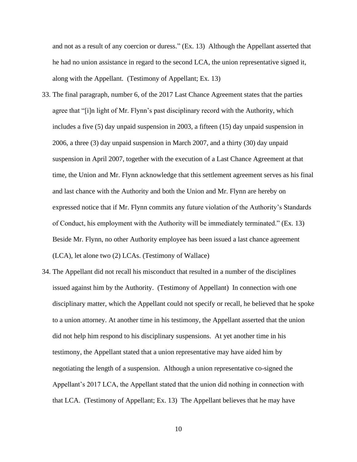and not as a result of any coercion or duress." (Ex. 13) Although the Appellant asserted that he had no union assistance in regard to the second LCA, the union representative signed it, along with the Appellant. (Testimony of Appellant; Ex. 13)

- 33. The final paragraph, number 6, of the 2017 Last Chance Agreement states that the parties agree that "[i]n light of Mr. Flynn's past disciplinary record with the Authority, which includes a five (5) day unpaid suspension in 2003, a fifteen (15) day unpaid suspension in 2006, a three (3) day unpaid suspension in March 2007, and a thirty (30) day unpaid suspension in April 2007, together with the execution of a Last Chance Agreement at that time, the Union and Mr. Flynn acknowledge that this settlement agreement serves as his final and last chance with the Authority and both the Union and Mr. Flynn are hereby on expressed notice that if Mr. Flynn commits any future violation of the Authority's Standards of Conduct, his employment with the Authority will be immediately terminated." (Ex. 13) Beside Mr. Flynn, no other Authority employee has been issued a last chance agreement (LCA), let alone two (2) LCAs. (Testimony of Wallace)
- 34. The Appellant did not recall his misconduct that resulted in a number of the disciplines issued against him by the Authority. (Testimony of Appellant) In connection with one disciplinary matter, which the Appellant could not specify or recall, he believed that he spoke to a union attorney. At another time in his testimony, the Appellant asserted that the union did not help him respond to his disciplinary suspensions. At yet another time in his testimony, the Appellant stated that a union representative may have aided him by negotiating the length of a suspension. Although a union representative co-signed the Appellant's 2017 LCA, the Appellant stated that the union did nothing in connection with that LCA. (Testimony of Appellant; Ex. 13) The Appellant believes that he may have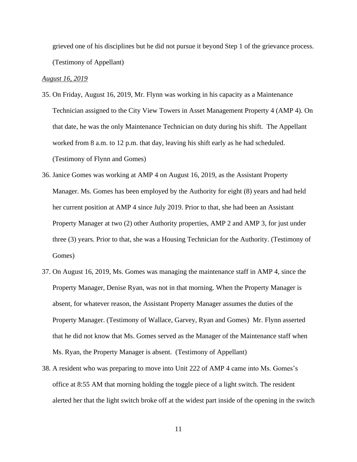grieved one of his disciplines but he did not pursue it beyond Step 1 of the grievance process. (Testimony of Appellant)

#### *August 16, 2019*

- 35. On Friday, August 16, 2019, Mr. Flynn was working in his capacity as a Maintenance Technician assigned to the City View Towers in Asset Management Property 4 (AMP 4). On that date, he was the only Maintenance Technician on duty during his shift. The Appellant worked from 8 a.m. to 12 p.m. that day, leaving his shift early as he had scheduled. (Testimony of Flynn and Gomes)
- 36. Janice Gomes was working at AMP 4 on August 16, 2019, as the Assistant Property Manager. Ms. Gomes has been employed by the Authority for eight (8) years and had held her current position at AMP 4 since July 2019. Prior to that, she had been an Assistant Property Manager at two (2) other Authority properties, AMP 2 and AMP 3, for just under three (3) years. Prior to that, she was a Housing Technician for the Authority. (Testimony of Gomes)
- 37. On August 16, 2019, Ms. Gomes was managing the maintenance staff in AMP 4, since the Property Manager, Denise Ryan, was not in that morning. When the Property Manager is absent, for whatever reason, the Assistant Property Manager assumes the duties of the Property Manager. (Testimony of Wallace, Garvey, Ryan and Gomes) Mr. Flynn asserted that he did not know that Ms. Gomes served as the Manager of the Maintenance staff when Ms. Ryan, the Property Manager is absent. (Testimony of Appellant)
- 38. A resident who was preparing to move into Unit 222 of AMP 4 came into Ms. Gomes's office at 8:55 AM that morning holding the toggle piece of a light switch. The resident alerted her that the light switch broke off at the widest part inside of the opening in the switch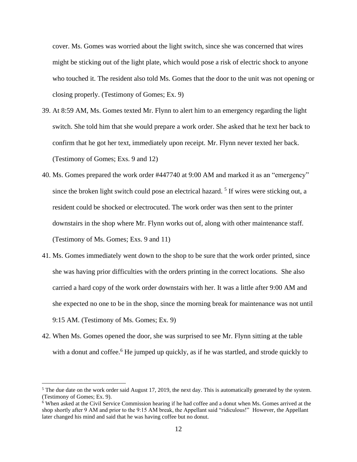cover. Ms. Gomes was worried about the light switch, since she was concerned that wires might be sticking out of the light plate, which would pose a risk of electric shock to anyone who touched it. The resident also told Ms. Gomes that the door to the unit was not opening or closing properly. (Testimony of Gomes; Ex. 9)

- 39. At 8:59 AM, Ms. Gomes texted Mr. Flynn to alert him to an emergency regarding the light switch. She told him that she would prepare a work order. She asked that he text her back to confirm that he got her text, immediately upon receipt. Mr. Flynn never texted her back. (Testimony of Gomes; Exs. 9 and 12)
- 40. Ms. Gomes prepared the work order #447740 at 9:00 AM and marked it as an "emergency" since the broken light switch could pose an electrical hazard. 5 If wires were sticking out, a resident could be shocked or electrocuted. The work order was then sent to the printer downstairs in the shop where Mr. Flynn works out of, along with other maintenance staff. (Testimony of Ms. Gomes; Exs. 9 and 11)
- 41. Ms. Gomes immediately went down to the shop to be sure that the work order printed, since she was having prior difficulties with the orders printing in the correct locations. She also carried a hard copy of the work order downstairs with her. It was a little after 9:00 AM and she expected no one to be in the shop, since the morning break for maintenance was not until 9:15 AM. (Testimony of Ms. Gomes; Ex. 9)
- 42. When Ms. Gomes opened the door, she was surprised to see Mr. Flynn sitting at the table with a donut and coffee.<sup>6</sup> He jumped up quickly, as if he was startled, and strode quickly to

 $5$  The due date on the work order said August 17, 2019, the next day. This is automatically generated by the system. (Testimony of Gomes; Ex. 9).

<sup>6</sup> When asked at the Civil Service Commission hearing if he had coffee and a donut when Ms. Gomes arrived at the shop shortly after 9 AM and prior to the 9:15 AM break, the Appellant said "ridiculous!" However, the Appellant later changed his mind and said that he was having coffee but no donut.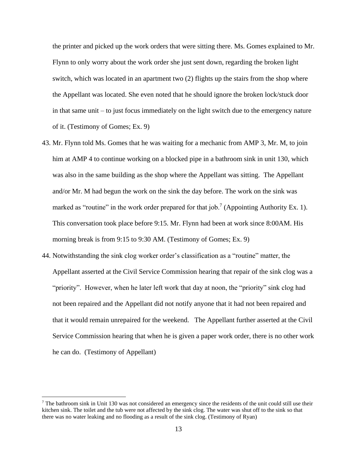the printer and picked up the work orders that were sitting there. Ms. Gomes explained to Mr. Flynn to only worry about the work order she just sent down, regarding the broken light switch, which was located in an apartment two (2) flights up the stairs from the shop where the Appellant was located. She even noted that he should ignore the broken lock/stuck door in that same unit – to just focus immediately on the light switch due to the emergency nature of it. (Testimony of Gomes; Ex. 9)

- 43. Mr. Flynn told Ms. Gomes that he was waiting for a mechanic from AMP 3, Mr. M, to join him at AMP 4 to continue working on a blocked pipe in a bathroom sink in unit 130, which was also in the same building as the shop where the Appellant was sitting. The Appellant and/or Mr. M had begun the work on the sink the day before. The work on the sink was marked as "routine" in the work order prepared for that job.<sup>7</sup> (Appointing Authority Ex. 1). This conversation took place before 9:15. Mr. Flynn had been at work since 8:00AM. His morning break is from 9:15 to 9:30 AM. (Testimony of Gomes; Ex. 9)
- 44. Notwithstanding the sink clog worker order's classification as a "routine" matter, the Appellant asserted at the Civil Service Commission hearing that repair of the sink clog was a "priority". However, when he later left work that day at noon, the "priority" sink clog had not been repaired and the Appellant did not notify anyone that it had not been repaired and that it would remain unrepaired for the weekend. The Appellant further asserted at the Civil Service Commission hearing that when he is given a paper work order, there is no other work he can do. (Testimony of Appellant)

 $7$  The bathroom sink in Unit 130 was not considered an emergency since the residents of the unit could still use their kitchen sink. The toilet and the tub were not affected by the sink clog. The water was shut off to the sink so that there was no water leaking and no flooding as a result of the sink clog. (Testimony of Ryan)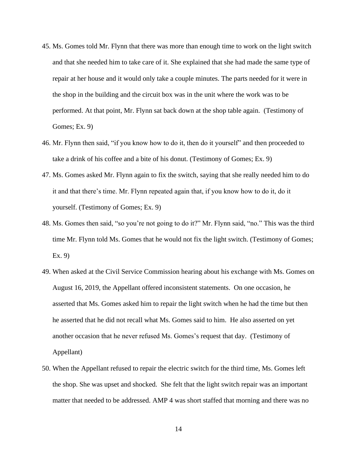- 45. Ms. Gomes told Mr. Flynn that there was more than enough time to work on the light switch and that she needed him to take care of it. She explained that she had made the same type of repair at her house and it would only take a couple minutes. The parts needed for it were in the shop in the building and the circuit box was in the unit where the work was to be performed. At that point, Mr. Flynn sat back down at the shop table again. (Testimony of Gomes; Ex. 9)
- 46. Mr. Flynn then said, "if you know how to do it, then do it yourself" and then proceeded to take a drink of his coffee and a bite of his donut. (Testimony of Gomes; Ex. 9)
- 47. Ms. Gomes asked Mr. Flynn again to fix the switch, saying that she really needed him to do it and that there's time. Mr. Flynn repeated again that, if you know how to do it, do it yourself. (Testimony of Gomes; Ex. 9)
- 48. Ms. Gomes then said, "so you're not going to do it?" Mr. Flynn said, "no." This was the third time Mr. Flynn told Ms. Gomes that he would not fix the light switch. (Testimony of Gomes; Ex. 9)
- 49. When asked at the Civil Service Commission hearing about his exchange with Ms. Gomes on August 16, 2019, the Appellant offered inconsistent statements. On one occasion, he asserted that Ms. Gomes asked him to repair the light switch when he had the time but then he asserted that he did not recall what Ms. Gomes said to him. He also asserted on yet another occasion that he never refused Ms. Gomes's request that day. (Testimony of Appellant)
- 50. When the Appellant refused to repair the electric switch for the third time, Ms. Gomes left the shop. She was upset and shocked. She felt that the light switch repair was an important matter that needed to be addressed. AMP 4 was short staffed that morning and there was no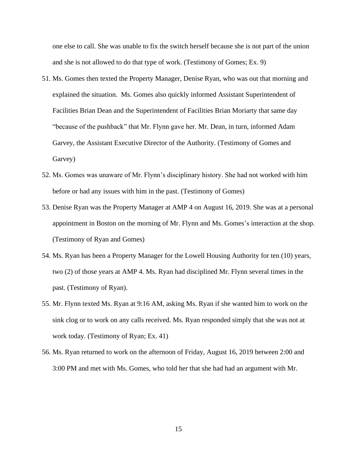one else to call. She was unable to fix the switch herself because she is not part of the union and she is not allowed to do that type of work. (Testimony of Gomes; Ex. 9)

- 51. Ms. Gomes then texted the Property Manager, Denise Ryan, who was out that morning and explained the situation. Ms. Gomes also quickly informed Assistant Superintendent of Facilities Brian Dean and the Superintendent of Facilities Brian Moriarty that same day "because of the pushback" that Mr. Flynn gave her. Mr. Dean, in turn, informed Adam Garvey, the Assistant Executive Director of the Authority. (Testimony of Gomes and Garvey)
- 52. Ms. Gomes was unaware of Mr. Flynn's disciplinary history. She had not worked with him before or had any issues with him in the past. (Testimony of Gomes)
- 53. Denise Ryan was the Property Manager at AMP 4 on August 16, 2019. She was at a personal appointment in Boston on the morning of Mr. Flynn and Ms. Gomes's interaction at the shop. (Testimony of Ryan and Gomes)
- 54. Ms. Ryan has been a Property Manager for the Lowell Housing Authority for ten (10) years, two (2) of those years at AMP 4. Ms. Ryan had disciplined Mr. Flynn several times in the past. (Testimony of Ryan).
- 55. Mr. Flynn texted Ms. Ryan at 9:16 AM, asking Ms. Ryan if she wanted him to work on the sink clog or to work on any calls received. Ms. Ryan responded simply that she was not at work today. (Testimony of Ryan; Ex. 41)
- 56. Ms. Ryan returned to work on the afternoon of Friday, August 16, 2019 between 2:00 and 3:00 PM and met with Ms. Gomes, who told her that she had had an argument with Mr.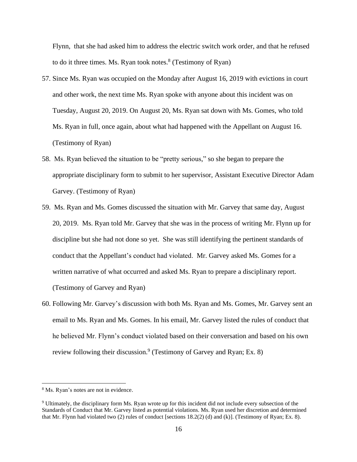Flynn, that she had asked him to address the electric switch work order, and that he refused to do it three times. Ms. Ryan took notes.<sup>8</sup> (Testimony of Ryan)

- 57. Since Ms. Ryan was occupied on the Monday after August 16, 2019 with evictions in court and other work, the next time Ms. Ryan spoke with anyone about this incident was on Tuesday, August 20, 2019. On August 20, Ms. Ryan sat down with Ms. Gomes, who told Ms. Ryan in full, once again, about what had happened with the Appellant on August 16. (Testimony of Ryan)
- 58. Ms. Ryan believed the situation to be "pretty serious," so she began to prepare the appropriate disciplinary form to submit to her supervisor, Assistant Executive Director Adam Garvey. (Testimony of Ryan)
- 59. Ms. Ryan and Ms. Gomes discussed the situation with Mr. Garvey that same day, August 20, 2019. Ms. Ryan told Mr. Garvey that she was in the process of writing Mr. Flynn up for discipline but she had not done so yet. She was still identifying the pertinent standards of conduct that the Appellant's conduct had violated. Mr. Garvey asked Ms. Gomes for a written narrative of what occurred and asked Ms. Ryan to prepare a disciplinary report. (Testimony of Garvey and Ryan)
- 60. Following Mr. Garvey's discussion with both Ms. Ryan and Ms. Gomes, Mr. Garvey sent an email to Ms. Ryan and Ms. Gomes. In his email, Mr. Garvey listed the rules of conduct that he believed Mr. Flynn's conduct violated based on their conversation and based on his own review following their discussion.<sup>9</sup> (Testimony of Garvey and Ryan; Ex. 8)

<sup>8</sup> Ms. Ryan's notes are not in evidence.

<sup>9</sup> Ultimately, the disciplinary form Ms. Ryan wrote up for this incident did not include every subsection of the Standards of Conduct that Mr. Garvey listed as potential violations. Ms. Ryan used her discretion and determined that Mr. Flynn had violated two (2) rules of conduct [sections 18.2(2) (d) and (k)]. (Testimony of Ryan; Ex. 8).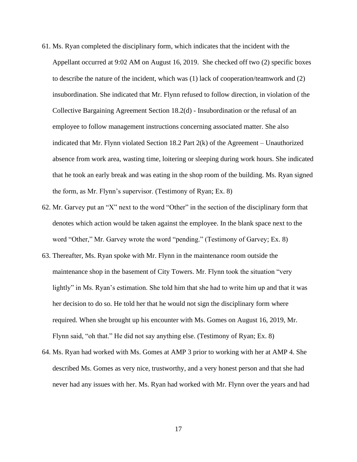- 61. Ms. Ryan completed the disciplinary form, which indicates that the incident with the Appellant occurred at 9:02 AM on August 16, 2019. She checked off two (2) specific boxes to describe the nature of the incident, which was (1) lack of cooperation/teamwork and (2) insubordination. She indicated that Mr. Flynn refused to follow direction, in violation of the Collective Bargaining Agreement Section 18.2(d) - Insubordination or the refusal of an employee to follow management instructions concerning associated matter. She also indicated that Mr. Flynn violated Section 18.2 Part 2(k) of the Agreement – Unauthorized absence from work area, wasting time, loitering or sleeping during work hours. She indicated that he took an early break and was eating in the shop room of the building. Ms. Ryan signed the form, as Mr. Flynn's supervisor. (Testimony of Ryan; Ex. 8)
- 62. Mr. Garvey put an "X" next to the word "Other" in the section of the disciplinary form that denotes which action would be taken against the employee. In the blank space next to the word "Other," Mr. Garvey wrote the word "pending." (Testimony of Garvey; Ex. 8)
- 63. Thereafter, Ms. Ryan spoke with Mr. Flynn in the maintenance room outside the maintenance shop in the basement of City Towers. Mr. Flynn took the situation "very lightly" in Ms. Ryan's estimation. She told him that she had to write him up and that it was her decision to do so. He told her that he would not sign the disciplinary form where required. When she brought up his encounter with Ms. Gomes on August 16, 2019, Mr. Flynn said, "oh that." He did not say anything else. (Testimony of Ryan; Ex. 8)
- 64. Ms. Ryan had worked with Ms. Gomes at AMP 3 prior to working with her at AMP 4. She described Ms. Gomes as very nice, trustworthy, and a very honest person and that she had never had any issues with her. Ms. Ryan had worked with Mr. Flynn over the years and had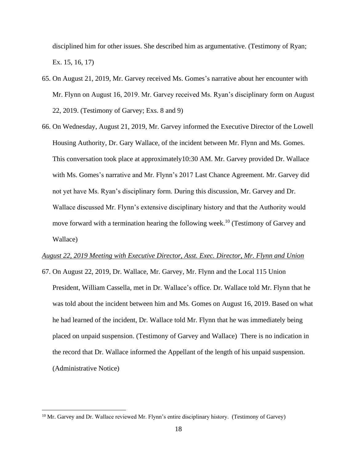disciplined him for other issues. She described him as argumentative. (Testimony of Ryan; Ex. 15, 16, 17)

- 65. On August 21, 2019, Mr. Garvey received Ms. Gomes's narrative about her encounter with Mr. Flynn on August 16, 2019. Mr. Garvey received Ms. Ryan's disciplinary form on August 22, 2019. (Testimony of Garvey; Exs. 8 and 9)
- 66. On Wednesday, August 21, 2019, Mr. Garvey informed the Executive Director of the Lowell Housing Authority, Dr. Gary Wallace, of the incident between Mr. Flynn and Ms. Gomes. This conversation took place at approximately10:30 AM. Mr. Garvey provided Dr. Wallace with Ms. Gomes's narrative and Mr. Flynn's 2017 Last Chance Agreement. Mr. Garvey did not yet have Ms. Ryan's disciplinary form. During this discussion, Mr. Garvey and Dr. Wallace discussed Mr. Flynn's extensive disciplinary history and that the Authority would move forward with a termination hearing the following week.<sup>10</sup> (Testimony of Garvey and Wallace)

#### *August 22, 2019 Meeting with Executive Director, Asst. Exec. Director, Mr. Flynn and Union*

67. On August 22, 2019, Dr. Wallace, Mr. Garvey, Mr. Flynn and the Local 115 Union President, William Cassella, met in Dr. Wallace's office. Dr. Wallace told Mr. Flynn that he was told about the incident between him and Ms. Gomes on August 16, 2019. Based on what he had learned of the incident, Dr. Wallace told Mr. Flynn that he was immediately being placed on unpaid suspension. (Testimony of Garvey and Wallace) There is no indication in the record that Dr. Wallace informed the Appellant of the length of his unpaid suspension. (Administrative Notice)

<sup>&</sup>lt;sup>10</sup> Mr. Garvey and Dr. Wallace reviewed Mr. Flynn's entire disciplinary history. (Testimony of Garvey)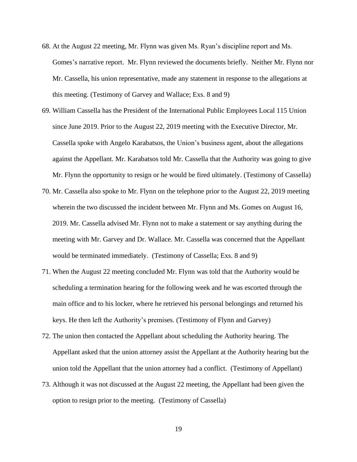- 68. At the August 22 meeting, Mr. Flynn was given Ms. Ryan's discipline report and Ms. Gomes's narrative report. Mr. Flynn reviewed the documents briefly. Neither Mr. Flynn nor Mr. Cassella, his union representative, made any statement in response to the allegations at this meeting. (Testimony of Garvey and Wallace; Exs. 8 and 9)
- 69. William Cassella has the President of the International Public Employees Local 115 Union since June 2019. Prior to the August 22, 2019 meeting with the Executive Director, Mr. Cassella spoke with Angelo Karabatsos, the Union's business agent, about the allegations against the Appellant. Mr. Karabatsos told Mr. Cassella that the Authority was going to give Mr. Flynn the opportunity to resign or he would be fired ultimately. (Testimony of Cassella)
- 70. Mr. Cassella also spoke to Mr. Flynn on the telephone prior to the August 22, 2019 meeting wherein the two discussed the incident between Mr. Flynn and Ms. Gomes on August 16, 2019. Mr. Cassella advised Mr. Flynn not to make a statement or say anything during the meeting with Mr. Garvey and Dr. Wallace. Mr. Cassella was concerned that the Appellant would be terminated immediately. (Testimony of Cassella; Exs. 8 and 9)
- 71. When the August 22 meeting concluded Mr. Flynn was told that the Authority would be scheduling a termination hearing for the following week and he was escorted through the main office and to his locker, where he retrieved his personal belongings and returned his keys. He then left the Authority's premises. (Testimony of Flynn and Garvey)
- 72. The union then contacted the Appellant about scheduling the Authority hearing. The Appellant asked that the union attorney assist the Appellant at the Authority hearing but the union told the Appellant that the union attorney had a conflict. (Testimony of Appellant)
- 73. Although it was not discussed at the August 22 meeting, the Appellant had been given the option to resign prior to the meeting. (Testimony of Cassella)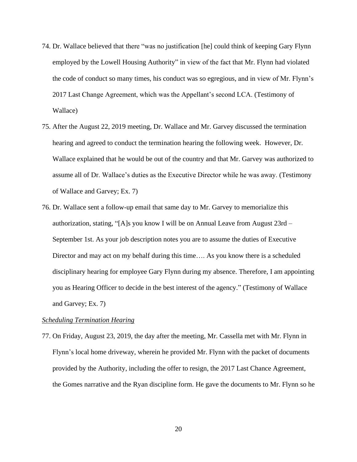- 74. Dr. Wallace believed that there "was no justification [he] could think of keeping Gary Flynn employed by the Lowell Housing Authority" in view of the fact that Mr. Flynn had violated the code of conduct so many times, his conduct was so egregious, and in view of Mr. Flynn's 2017 Last Change Agreement, which was the Appellant's second LCA. (Testimony of Wallace)
- 75. After the August 22, 2019 meeting, Dr. Wallace and Mr. Garvey discussed the termination hearing and agreed to conduct the termination hearing the following week. However, Dr. Wallace explained that he would be out of the country and that Mr. Garvey was authorized to assume all of Dr. Wallace's duties as the Executive Director while he was away. (Testimony of Wallace and Garvey; Ex. 7)
- 76. Dr. Wallace sent a follow-up email that same day to Mr. Garvey to memorialize this authorization, stating, "[A]s you know I will be on Annual Leave from August 23rd – September 1st. As your job description notes you are to assume the duties of Executive Director and may act on my behalf during this time…. As you know there is a scheduled disciplinary hearing for employee Gary Flynn during my absence. Therefore, I am appointing you as Hearing Officer to decide in the best interest of the agency." (Testimony of Wallace and Garvey; Ex. 7)

#### *Scheduling Termination Hearing*

77. On Friday, August 23, 2019, the day after the meeting, Mr. Cassella met with Mr. Flynn in Flynn's local home driveway, wherein he provided Mr. Flynn with the packet of documents provided by the Authority, including the offer to resign, the 2017 Last Chance Agreement, the Gomes narrative and the Ryan discipline form. He gave the documents to Mr. Flynn so he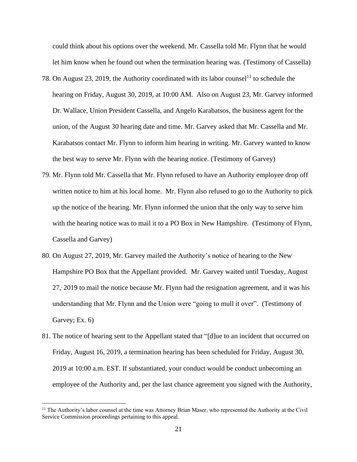could think about his options over the weekend. Mr. Cassella told Mr. Flynn that he would let him know when he found out when the termination hearing was. (Testimony of Cassella)

- 78. On August 23, 2019, the Authority coordinated with its labor counsel<sup>11</sup> to schedule the hearing on Friday, August 30, 2019, at 10:00 AM. Also on August 23, Mr. Garvey informed Dr. Wallace, Union President Cassella, and Angelo Karabatsos, the business agent for the union, of the August 30 hearing date and time. Mr. Garvey asked that Mr. Cassella and Mr. Karabatsos contact Mr. Flynn to inform him hearing in writing. Mr. Garvey wanted to know the best way to serve Mr. Flynn with the hearing notice. (Testimony of Garvey)
- 79. Mr. Flynn told Mr. Cassella that Mr. Flynn refused to have an Authority employee drop off written notice to him at his local home. Mr. Flynn also refused to go to the Authority to pick up the notice of the hearing. Mr. Flynn informed the union that the only way to serve him with the hearing notice was to mail it to a PO Box in New Hampshire. (Testimony of Flynn, Cassella and Garvey)
- 80. On August 27, 2019, Mr. Garvey mailed the Authority's notice of hearing to the New Hampshire PO Box that the Appellant provided. Mr. Garvey waited until Tuesday, August 27, 2019 to mail the notice because Mr. Flynn had the resignation agreement, and it was his understanding that Mr. Flynn and the Union were "going to mull it over". (Testimony of Garvey; Ex. 6)
- 81. The notice of hearing sent to the Appellant stated that "[d]ue to an incident that occurred on Friday, August 16, 2019, a termination hearing has been scheduled for Friday, August 30, 2019 at 10:00 a.m. EST. If substantiated, your conduct would be conduct unbecoming an employee of the Authority and, per the last chance agreement you signed with the Authority,

<sup>&</sup>lt;sup>11</sup> The Authority's labor counsel at the time was Attorney Brian Maser, who represented the Authority at the Civil Service Commission proceedings pertaining to this appeal.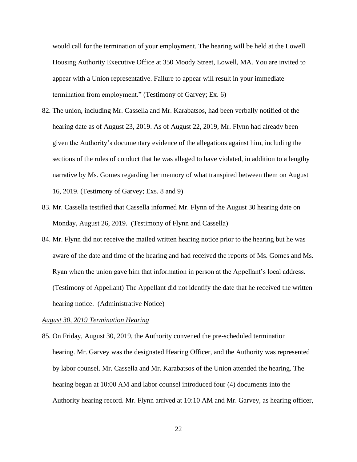would call for the termination of your employment. The hearing will be held at the Lowell Housing Authority Executive Office at 350 Moody Street, Lowell, MA. You are invited to appear with a Union representative. Failure to appear will result in your immediate termination from employment." (Testimony of Garvey; Ex. 6)

- 82. The union, including Mr. Cassella and Mr. Karabatsos, had been verbally notified of the hearing date as of August 23, 2019. As of August 22, 2019, Mr. Flynn had already been given the Authority's documentary evidence of the allegations against him, including the sections of the rules of conduct that he was alleged to have violated, in addition to a lengthy narrative by Ms. Gomes regarding her memory of what transpired between them on August 16, 2019. (Testimony of Garvey; Exs. 8 and 9)
- 83. Mr. Cassella testified that Cassella informed Mr. Flynn of the August 30 hearing date on Monday, August 26, 2019. (Testimony of Flynn and Cassella)
- 84. Mr. Flynn did not receive the mailed written hearing notice prior to the hearing but he was aware of the date and time of the hearing and had received the reports of Ms. Gomes and Ms. Ryan when the union gave him that information in person at the Appellant's local address. (Testimony of Appellant) The Appellant did not identify the date that he received the written hearing notice. (Administrative Notice)

## *August 30, 2019 Termination Hearing*

85. On Friday, August 30, 2019, the Authority convened the pre-scheduled termination hearing. Mr. Garvey was the designated Hearing Officer, and the Authority was represented by labor counsel. Mr. Cassella and Mr. Karabatsos of the Union attended the hearing. The hearing began at 10:00 AM and labor counsel introduced four (4) documents into the Authority hearing record. Mr. Flynn arrived at 10:10 AM and Mr. Garvey, as hearing officer,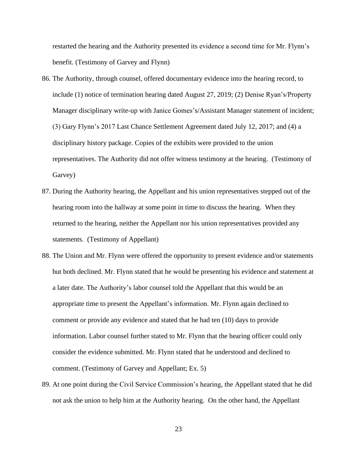restarted the hearing and the Authority presented its evidence a second time for Mr. Flynn's benefit. (Testimony of Garvey and Flynn)

- 86. The Authority, through counsel, offered documentary evidence into the hearing record, to include (1) notice of termination hearing dated August 27, 2019; (2) Denise Ryan's/Property Manager disciplinary write-up with Janice Gomes's/Assistant Manager statement of incident; (3) Gary Flynn's 2017 Last Chance Settlement Agreement dated July 12, 2017; and (4) a disciplinary history package. Copies of the exhibits were provided to the union representatives. The Authority did not offer witness testimony at the hearing. (Testimony of Garvey)
- 87. During the Authority hearing, the Appellant and his union representatives stepped out of the hearing room into the hallway at some point in time to discuss the hearing. When they returned to the hearing, neither the Appellant nor his union representatives provided any statements. (Testimony of Appellant)
- 88. The Union and Mr. Flynn were offered the opportunity to present evidence and/or statements but both declined. Mr. Flynn stated that he would be presenting his evidence and statement at a later date. The Authority's labor counsel told the Appellant that this would be an appropriate time to present the Appellant's information. Mr. Flynn again declined to comment or provide any evidence and stated that he had ten (10) days to provide information. Labor counsel further stated to Mr. Flynn that the hearing officer could only consider the evidence submitted. Mr. Flynn stated that he understood and declined to comment. (Testimony of Garvey and Appellant; Ex. 5)
- 89. At one point during the Civil Service Commission's hearing, the Appellant stated that he did not ask the union to help him at the Authority hearing. On the other hand, the Appellant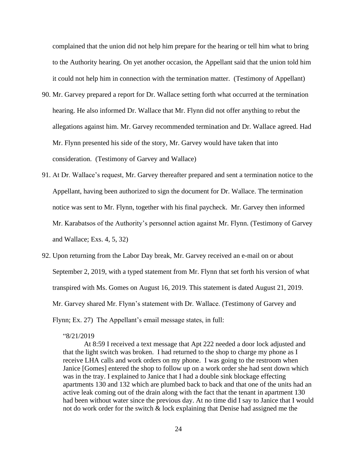complained that the union did not help him prepare for the hearing or tell him what to bring to the Authority hearing. On yet another occasion, the Appellant said that the union told him it could not help him in connection with the termination matter. (Testimony of Appellant)

- 90. Mr. Garvey prepared a report for Dr. Wallace setting forth what occurred at the termination hearing. He also informed Dr. Wallace that Mr. Flynn did not offer anything to rebut the allegations against him. Mr. Garvey recommended termination and Dr. Wallace agreed. Had Mr. Flynn presented his side of the story, Mr. Garvey would have taken that into consideration. (Testimony of Garvey and Wallace)
- 91. At Dr. Wallace's request, Mr. Garvey thereafter prepared and sent a termination notice to the Appellant, having been authorized to sign the document for Dr. Wallace. The termination notice was sent to Mr. Flynn, together with his final paycheck. Mr. Garvey then informed Mr. Karabatsos of the Authority's personnel action against Mr. Flynn. (Testimony of Garvey and Wallace; Exs. 4, 5, 32)
- 92. Upon returning from the Labor Day break, Mr. Garvey received an e-mail on or about September 2, 2019, with a typed statement from Mr. Flynn that set forth his version of what transpired with Ms. Gomes on August 16, 2019. This statement is dated August 21, 2019. Mr. Garvey shared Mr. Flynn's statement with Dr. Wallace. (Testimony of Garvey and Flynn; Ex. 27) The Appellant's email message states, in full:

### "8/21/2019

At 8:59 I received a text message that Apt 222 needed a door lock adjusted and that the light switch was broken. I had returned to the shop to charge my phone as I receive LHA calls and work orders on my phone. I was going to the restroom when Janice [Gomes] entered the shop to follow up on a work order she had sent down which was in the tray. I explained to Janice that I had a double sink blockage effecting apartments 130 and 132 which are plumbed back to back and that one of the units had an active leak coming out of the drain along with the fact that the tenant in apartment 130 had been without water since the previous day. At no time did I say to Janice that I would not do work order for the switch  $\&$  lock explaining that Denise had assigned me the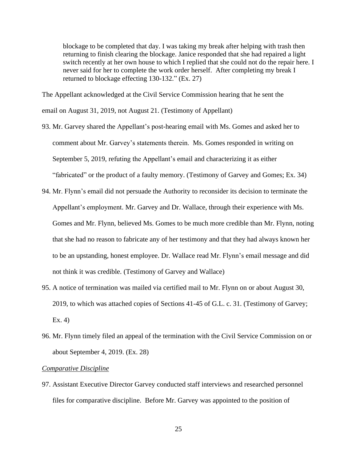blockage to be completed that day. I was taking my break after helping with trash then returning to finish clearing the blockage. Janice responded that she had repaired a light switch recently at her own house to which I replied that she could not do the repair here. I never said for her to complete the work order herself. After completing my break I returned to blockage effecting 130-132." (Ex. 27)

The Appellant acknowledged at the Civil Service Commission hearing that he sent the email on August 31, 2019, not August 21. (Testimony of Appellant)

- 93. Mr. Garvey shared the Appellant's post-hearing email with Ms. Gomes and asked her to comment about Mr. Garvey's statements therein. Ms. Gomes responded in writing on September 5, 2019, refuting the Appellant's email and characterizing it as either "fabricated" or the product of a faulty memory. (Testimony of Garvey and Gomes; Ex. 34)
- 94. Mr. Flynn's email did not persuade the Authority to reconsider its decision to terminate the Appellant's employment. Mr. Garvey and Dr. Wallace, through their experience with Ms. Gomes and Mr. Flynn, believed Ms. Gomes to be much more credible than Mr. Flynn, noting that she had no reason to fabricate any of her testimony and that they had always known her to be an upstanding, honest employee. Dr. Wallace read Mr. Flynn's email message and did not think it was credible. (Testimony of Garvey and Wallace)
- 95. A notice of termination was mailed via certified mail to Mr. Flynn on or about August 30, 2019, to which was attached copies of Sections 41-45 of G.L. c. 31. (Testimony of Garvey; Ex. 4)
- 96. Mr. Flynn timely filed an appeal of the termination with the Civil Service Commission on or about September 4, 2019. (Ex. 28)

#### *Comparative Discipline*

97. Assistant Executive Director Garvey conducted staff interviews and researched personnel files for comparative discipline. Before Mr. Garvey was appointed to the position of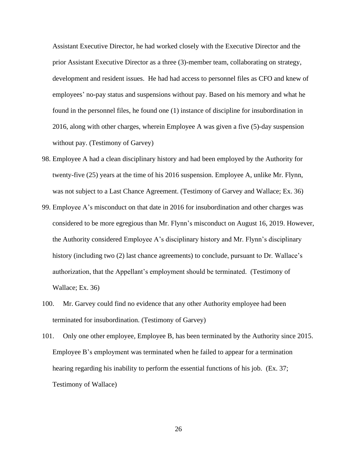Assistant Executive Director, he had worked closely with the Executive Director and the prior Assistant Executive Director as a three (3)-member team, collaborating on strategy, development and resident issues. He had had access to personnel files as CFO and knew of employees' no-pay status and suspensions without pay. Based on his memory and what he found in the personnel files, he found one (1) instance of discipline for insubordination in 2016, along with other charges, wherein Employee A was given a five (5)-day suspension without pay. (Testimony of Garvey)

- 98. Employee A had a clean disciplinary history and had been employed by the Authority for twenty-five (25) years at the time of his 2016 suspension. Employee A, unlike Mr. Flynn, was not subject to a Last Chance Agreement. (Testimony of Garvey and Wallace; Ex. 36)
- 99. Employee A's misconduct on that date in 2016 for insubordination and other charges was considered to be more egregious than Mr. Flynn's misconduct on August 16, 2019. However, the Authority considered Employee A's disciplinary history and Mr. Flynn's disciplinary history (including two (2) last chance agreements) to conclude, pursuant to Dr. Wallace's authorization, that the Appellant's employment should be terminated. (Testimony of Wallace; Ex. 36)
- 100. Mr. Garvey could find no evidence that any other Authority employee had been terminated for insubordination. (Testimony of Garvey)
- 101. Only one other employee, Employee B, has been terminated by the Authority since 2015. Employee B's employment was terminated when he failed to appear for a termination hearing regarding his inability to perform the essential functions of his job. (Ex. 37; Testimony of Wallace)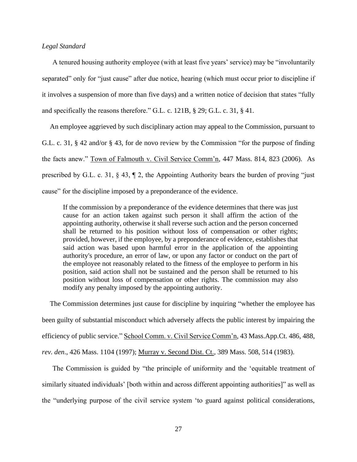# *Legal Standard*

A tenured housing authority employee (with at least five years' service) may be "involuntarily separated" only for "just cause" after due notice, hearing (which must occur prior to discipline if it involves a suspension of more than five days) and a written notice of decision that states "fully and specifically the reasons therefore." G.L. c. 121B, § 29; G.L. c. 31, § 41.

An employee aggrieved by such disciplinary action may appeal to the Commission, pursuant to G.L. c. 31, § 42 and/or § 43, for de novo review by the Commission "for the purpose of finding the facts anew." Town of Falmouth v. Civil Service Comm'n, 447 Mass. 814, 823 (2006). As prescribed by G.L. c. 31, § 43, ¶ 2, the Appointing Authority bears the burden of proving "just cause" for the discipline imposed by a preponderance of the evidence.

If the commission by a preponderance of the evidence determines that there was just cause for an action taken against such person it shall affirm the action of the appointing authority, otherwise it shall reverse such action and the person concerned shall be returned to his position without loss of compensation or other rights; provided, however, if the employee, by a preponderance of evidence, establishes that said action was based upon harmful error in the application of the appointing authority's procedure, an error of law, or upon any factor or conduct on the part of the employee not reasonably related to the fitness of the employee to perform in his position, said action shall not be sustained and the person shall be returned to his position without loss of compensation or other rights. The commission may also modify any penalty imposed by the appointing authority.

The Commission determines just cause for discipline by inquiring "whether the employee has been guilty of substantial misconduct which adversely affects the public interest by impairing the efficiency of public service." School Comm. v. Civil Service Comm'n, 43 Mass.App.Ct. 486, 488, *rev. den*., 426 Mass. 1104 (1997); Murray v. Second Dist. Ct., 389 Mass. 508, 514 (1983).

The Commission is guided by "the principle of uniformity and the 'equitable treatment of similarly situated individuals' [both within and across different appointing authorities]" as well as the "underlying purpose of the civil service system 'to guard against political considerations,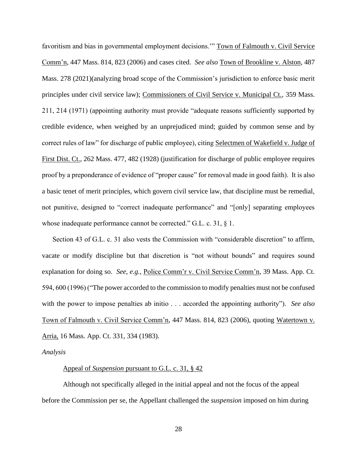favoritism and bias in governmental employment decisions." Town of Falmouth v. Civil Service Comm'n, 447 Mass. 814, 823 (2006) and cases cited. *See also* Town of Brookline v. Alston, 487 Mass. 278 (2021)(analyzing broad scope of the Commission's jurisdiction to enforce basic merit principles under civil service law); Commissioners of Civil Service v. Municipal Ct., 359 Mass. 211, 214 (1971) (appointing authority must provide "adequate reasons sufficiently supported by credible evidence, when weighed by an unprejudiced mind; guided by common sense and by correct rules of law" for discharge of public employee), citing Selectmen of Wakefield v. Judge of First Dist. Ct., 262 Mass. 477, 482 (1928) (justification for discharge of public employee requires proof by a preponderance of evidence of "proper cause" for removal made in good faith). It is also a basic tenet of merit principles, which govern civil service law, that discipline must be remedial, not punitive, designed to "correct inadequate performance" and "[only] separating employees whose inadequate performance cannot be corrected." G.L. c. 31, § 1.

Section 43 of G.L. c. 31 also vests the Commission with "considerable discretion" to affirm, vacate or modify discipline but that discretion is "not without bounds" and requires sound explanation for doing so. *See, e.g.*, Police Comm'r v. Civil Service Comm'n, 39 Mass. App. Ct. 594, 600 (1996) ("The power accorded to the commission to modify penalties must not be confused with the power to impose penalties ab initio . . . accorded the appointing authority"). *See also* Town of Falmouth v. Civil Service Comm'n, 447 Mass. 814, 823 (2006), quoting Watertown v. Arria, 16 Mass. App. Ct. 331, 334 (1983).

#### *Analysis*

#### Appeal of *Suspension* pursuant to G.L. c. 31, § 42

Although not specifically alleged in the initial appeal and not the focus of the appeal before the Commission per se, the Appellant challenged the *suspension* imposed on him during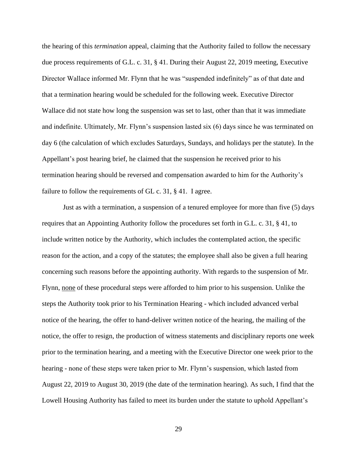the hearing of this *termination* appeal, claiming that the Authority failed to follow the necessary due process requirements of G.L. c. 31, § 41. During their August 22, 2019 meeting, Executive Director Wallace informed Mr. Flynn that he was "suspended indefinitely" as of that date and that a termination hearing would be scheduled for the following week. Executive Director Wallace did not state how long the suspension was set to last, other than that it was immediate and indefinite. Ultimately, Mr. Flynn's suspension lasted six (6) days since he was terminated on day 6 (the calculation of which excludes Saturdays, Sundays, and holidays per the statute). In the Appellant's post hearing brief, he claimed that the suspension he received prior to his termination hearing should be reversed and compensation awarded to him for the Authority's failure to follow the requirements of GL c. 31, § 41. I agree.

Just as with a termination, a suspension of a tenured employee for more than five (5) days requires that an Appointing Authority follow the procedures set forth in G.L. c. 31, § 41, to include written notice by the Authority, which includes the contemplated action, the specific reason for the action, and a copy of the statutes; the employee shall also be given a full hearing concerning such reasons before the appointing authority. With regards to the suspension of Mr. Flynn, none of these procedural steps were afforded to him prior to his suspension. Unlike the steps the Authority took prior to his Termination Hearing - which included advanced verbal notice of the hearing, the offer to hand-deliver written notice of the hearing, the mailing of the notice, the offer to resign, the production of witness statements and disciplinary reports one week prior to the termination hearing, and a meeting with the Executive Director one week prior to the hearing - none of these steps were taken prior to Mr. Flynn's suspension, which lasted from August 22, 2019 to August 30, 2019 (the date of the termination hearing). As such, I find that the Lowell Housing Authority has failed to meet its burden under the statute to uphold Appellant's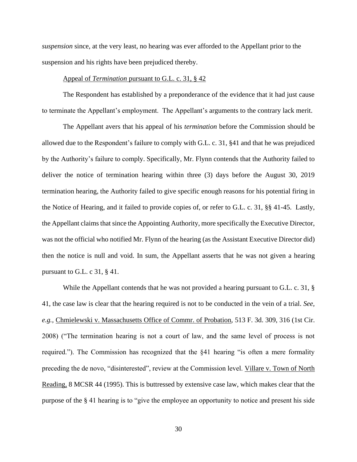*suspension* since, at the very least, no hearing was ever afforded to the Appellant prior to the suspension and his rights have been prejudiced thereby.

### Appeal of *Termination* pursuant to G.L. c. 31, § 42

The Respondent has established by a preponderance of the evidence that it had just cause to terminate the Appellant's employment. The Appellant's arguments to the contrary lack merit.

The Appellant avers that his appeal of his *termination* before the Commission should be allowed due to the Respondent's failure to comply with G.L. c. 31, §41 and that he was prejudiced by the Authority's failure to comply. Specifically, Mr. Flynn contends that the Authority failed to deliver the notice of termination hearing within three (3) days before the August 30, 2019 termination hearing, the Authority failed to give specific enough reasons for his potential firing in the Notice of Hearing, and it failed to provide copies of, or refer to G.L. c. 31, §§ 41-45. Lastly, the Appellant claims that since the Appointing Authority, more specifically the Executive Director, was not the official who notified Mr. Flynn of the hearing (as the Assistant Executive Director did) then the notice is null and void. In sum, the Appellant asserts that he was not given a hearing pursuant to G.L. c 31, § 41.

While the Appellant contends that he was not provided a hearing pursuant to G.L. c. 31, § 41, the case law is clear that the hearing required is not to be conducted in the vein of a trial. *See, e.g.,* Chmielewski v. Massachusetts Office of Commr. of Probation*,* 513 F. 3d. 309, 316 (1st Cir. 2008) ("The termination hearing is not a court of law, and the same level of process is not required."). The Commission has recognized that the §41 hearing "is often a mere formality preceding the de novo, "disinterested", review at the Commission level. Villare v. Town of North Reading, 8 MCSR 44 (1995). This is buttressed by extensive case law, which makes clear that the purpose of the § 41 hearing is to "give the employee an opportunity to notice and present his side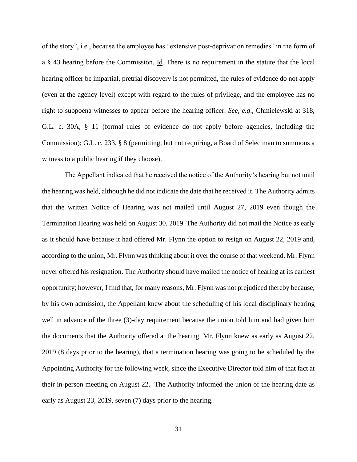of the story", i.e., because the employee has "extensive post-deprivation remedies" in the form of a § 43 hearing before the Commission. Id*.* There is no requirement in the statute that the local hearing officer be impartial, pretrial discovery is not permitted, the rules of evidence do not apply (even at the agency level) except with regard to the rules of privilege, and the employee has no right to subpoena witnesses to appear before the hearing officer. *See, e.g*., Chmielewski at 318, G.L. c. 30A, § 11 (formal rules of evidence do not apply before agencies, including the Commission); G.L. c. 233, § 8 (permitting, but not requiring, a Board of Selectman to summons a witness to a public hearing if they choose).

The Appellant indicated that he received the notice of the Authority's hearing but not until the hearing was held, although he did not indicate the date that he received it. The Authority admits that the written Notice of Hearing was not mailed until August 27, 2019 even though the Termination Hearing was held on August 30, 2019. The Authority did not mail the Notice as early as it should have because it had offered Mr. Flynn the option to resign on August 22, 2019 and, according to the union, Mr. Flynn was thinking about it over the course of that weekend. Mr. Flynn never offered his resignation. The Authority should have mailed the notice of hearing at its earliest opportunity; however, I find that, for many reasons, Mr. Flynn was not prejudiced thereby because, by his own admission, the Appellant knew about the scheduling of his local disciplinary hearing well in advance of the three (3)-day requirement because the union told him and had given him the documents that the Authority offered at the hearing. Mr. Flynn knew as early as August 22, 2019 (8 days prior to the hearing), that a termination hearing was going to be scheduled by the Appointing Authority for the following week, since the Executive Director told him of that fact at their in-person meeting on August 22. The Authority informed the union of the hearing date as early as August 23, 2019, seven (7) days prior to the hearing.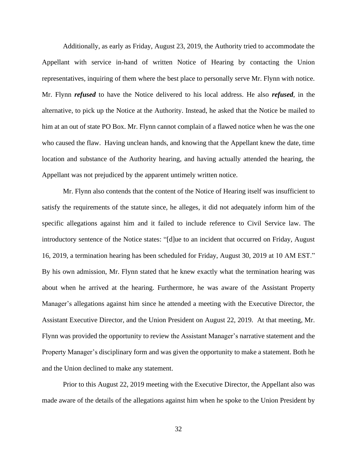Additionally, as early as Friday, August 23, 2019, the Authority tried to accommodate the Appellant with service in-hand of written Notice of Hearing by contacting the Union representatives, inquiring of them where the best place to personally serve Mr. Flynn with notice. Mr. Flynn *refused* to have the Notice delivered to his local address. He also *refused*, in the alternative, to pick up the Notice at the Authority. Instead, he asked that the Notice be mailed to him at an out of state PO Box. Mr. Flynn cannot complain of a flawed notice when he was the one who caused the flaw. Having unclean hands, and knowing that the Appellant knew the date, time location and substance of the Authority hearing, and having actually attended the hearing, the Appellant was not prejudiced by the apparent untimely written notice.

Mr. Flynn also contends that the content of the Notice of Hearing itself was insufficient to satisfy the requirements of the statute since, he alleges, it did not adequately inform him of the specific allegations against him and it failed to include reference to Civil Service law. The introductory sentence of the Notice states: "[d]ue to an incident that occurred on Friday, August 16, 2019, a termination hearing has been scheduled for Friday, August 30, 2019 at 10 AM EST." By his own admission, Mr. Flynn stated that he knew exactly what the termination hearing was about when he arrived at the hearing. Furthermore, he was aware of the Assistant Property Manager's allegations against him since he attended a meeting with the Executive Director, the Assistant Executive Director, and the Union President on August 22, 2019. At that meeting, Mr. Flynn was provided the opportunity to review the Assistant Manager's narrative statement and the Property Manager's disciplinary form and was given the opportunity to make a statement. Both he and the Union declined to make any statement.

Prior to this August 22, 2019 meeting with the Executive Director, the Appellant also was made aware of the details of the allegations against him when he spoke to the Union President by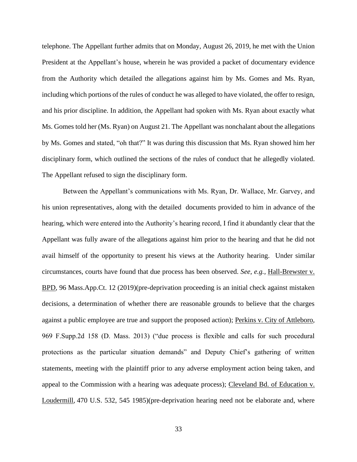telephone. The Appellant further admits that on Monday, August 26, 2019, he met with the Union President at the Appellant's house, wherein he was provided a packet of documentary evidence from the Authority which detailed the allegations against him by Ms. Gomes and Ms. Ryan, including which portions of the rules of conduct he was alleged to have violated, the offer to resign, and his prior discipline. In addition, the Appellant had spoken with Ms. Ryan about exactly what Ms. Gomes told her (Ms. Ryan) on August 21. The Appellant was nonchalant about the allegations by Ms. Gomes and stated, "oh that?" It was during this discussion that Ms. Ryan showed him her disciplinary form, which outlined the sections of the rules of conduct that he allegedly violated. The Appellant refused to sign the disciplinary form.

Between the Appellant's communications with Ms. Ryan, Dr. Wallace, Mr. Garvey, and his union representatives, along with the detailed documents provided to him in advance of the hearing, which were entered into the Authority's hearing record, I find it abundantly clear that the Appellant was fully aware of the allegations against him prior to the hearing and that he did not avail himself of the opportunity to present his views at the Authority hearing. Under similar circumstances, courts have found that due process has been observed. *See, e.g.,* Hall-Brewster v. BPD*,* 96 Mass.App.Ct. 12 (2019)(pre-deprivation proceeding is an initial check against mistaken decisions, a determination of whether there are reasonable grounds to believe that the charges against a public employee are true and support the proposed action); Perkins v. City of Attleboro*,*  969 F.Supp.2d 158 (D. Mass. 2013) ("due process is flexible and calls for such procedural protections as the particular situation demands" and Deputy Chief's gathering of written statements, meeting with the plaintiff prior to any adverse employment action being taken, and appeal to the Commission with a hearing was adequate process); Cleveland Bd. of Education v. Loudermill*,* 470 U.S. 532, 545 1985)(pre-deprivation hearing need not be elaborate and, where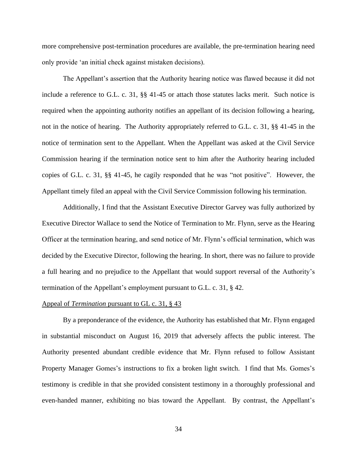more comprehensive post-termination procedures are available, the pre-termination hearing need only provide 'an initial check against mistaken decisions).

The Appellant's assertion that the Authority hearing notice was flawed because it did not include a reference to G.L. c. 31, §§ 41-45 or attach those statutes lacks merit. Such notice is required when the appointing authority notifies an appellant of its decision following a hearing, not in the notice of hearing. The Authority appropriately referred to G.L. c. 31, §§ 41-45 in the notice of termination sent to the Appellant. When the Appellant was asked at the Civil Service Commission hearing if the termination notice sent to him after the Authority hearing included copies of G.L. c. 31, §§ 41-45, he cagily responded that he was "not positive". However, the Appellant timely filed an appeal with the Civil Service Commission following his termination.

Additionally, I find that the Assistant Executive Director Garvey was fully authorized by Executive Director Wallace to send the Notice of Termination to Mr. Flynn, serve as the Hearing Officer at the termination hearing, and send notice of Mr. Flynn's official termination, which was decided by the Executive Director, following the hearing. In short, there was no failure to provide a full hearing and no prejudice to the Appellant that would support reversal of the Authority's termination of the Appellant's employment pursuant to G.L. c. 31, § 42.

### Appeal of *Termination* pursuant to GL c. 31, § 43

By a preponderance of the evidence, the Authority has established that Mr. Flynn engaged in substantial misconduct on August 16, 2019 that adversely affects the public interest. The Authority presented abundant credible evidence that Mr. Flynn refused to follow Assistant Property Manager Gomes's instructions to fix a broken light switch. I find that Ms. Gomes's testimony is credible in that she provided consistent testimony in a thoroughly professional and even-handed manner, exhibiting no bias toward the Appellant. By contrast, the Appellant's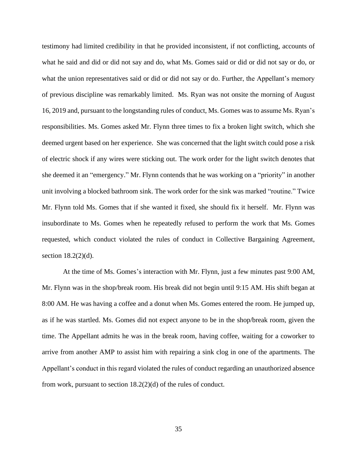testimony had limited credibility in that he provided inconsistent, if not conflicting, accounts of what he said and did or did not say and do, what Ms. Gomes said or did or did not say or do, or what the union representatives said or did or did not say or do. Further, the Appellant's memory of previous discipline was remarkably limited. Ms. Ryan was not onsite the morning of August 16, 2019 and, pursuant to the longstanding rules of conduct, Ms. Gomes was to assume Ms. Ryan's responsibilities. Ms. Gomes asked Mr. Flynn three times to fix a broken light switch, which she deemed urgent based on her experience. She was concerned that the light switch could pose a risk of electric shock if any wires were sticking out. The work order for the light switch denotes that she deemed it an "emergency." Mr. Flynn contends that he was working on a "priority" in another unit involving a blocked bathroom sink. The work order for the sink was marked "routine." Twice Mr. Flynn told Ms. Gomes that if she wanted it fixed, she should fix it herself. Mr. Flynn was insubordinate to Ms. Gomes when he repeatedly refused to perform the work that Ms. Gomes requested, which conduct violated the rules of conduct in Collective Bargaining Agreement, section 18.2(2)(d).

At the time of Ms. Gomes's interaction with Mr. Flynn, just a few minutes past 9:00 AM, Mr. Flynn was in the shop/break room. His break did not begin until 9:15 AM. His shift began at 8:00 AM. He was having a coffee and a donut when Ms. Gomes entered the room. He jumped up, as if he was startled. Ms. Gomes did not expect anyone to be in the shop/break room, given the time. The Appellant admits he was in the break room, having coffee, waiting for a coworker to arrive from another AMP to assist him with repairing a sink clog in one of the apartments. The Appellant's conduct in this regard violated the rules of conduct regarding an unauthorized absence from work, pursuant to section 18.2(2)(d) of the rules of conduct.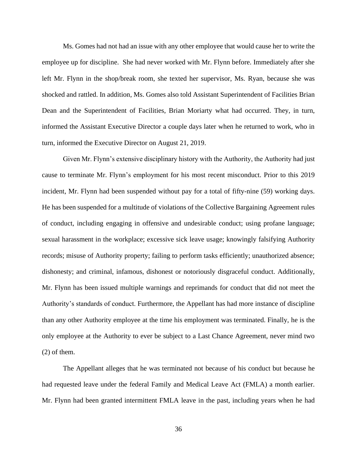Ms. Gomes had not had an issue with any other employee that would cause her to write the employee up for discipline. She had never worked with Mr. Flynn before. Immediately after she left Mr. Flynn in the shop/break room, she texted her supervisor, Ms. Ryan, because she was shocked and rattled. In addition, Ms. Gomes also told Assistant Superintendent of Facilities Brian Dean and the Superintendent of Facilities, Brian Moriarty what had occurred. They, in turn, informed the Assistant Executive Director a couple days later when he returned to work, who in turn, informed the Executive Director on August 21, 2019.

Given Mr. Flynn's extensive disciplinary history with the Authority, the Authority had just cause to terminate Mr. Flynn's employment for his most recent misconduct. Prior to this 2019 incident, Mr. Flynn had been suspended without pay for a total of fifty-nine (59) working days. He has been suspended for a multitude of violations of the Collective Bargaining Agreement rules of conduct, including engaging in offensive and undesirable conduct; using profane language; sexual harassment in the workplace; excessive sick leave usage; knowingly falsifying Authority records; misuse of Authority property; failing to perform tasks efficiently; unauthorized absence; dishonesty; and criminal, infamous, dishonest or notoriously disgraceful conduct. Additionally, Mr. Flynn has been issued multiple warnings and reprimands for conduct that did not meet the Authority's standards of conduct. Furthermore, the Appellant has had more instance of discipline than any other Authority employee at the time his employment was terminated. Finally, he is the only employee at the Authority to ever be subject to a Last Chance Agreement, never mind two (2) of them.

The Appellant alleges that he was terminated not because of his conduct but because he had requested leave under the federal Family and Medical Leave Act (FMLA) a month earlier. Mr. Flynn had been granted intermittent FMLA leave in the past, including years when he had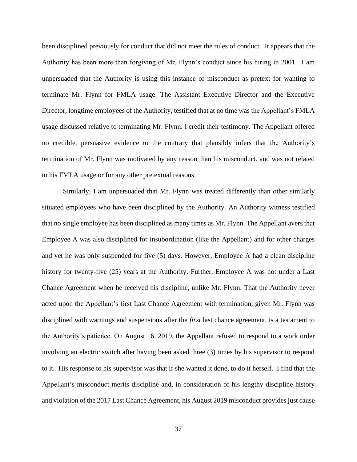been disciplined previously for conduct that did not meet the rules of conduct. It appears that the Authority has been more than forgiving of Mr. Flynn's conduct since his hiring in 2001. I am unpersuaded that the Authority is using this instance of misconduct as pretext for wanting to terminate Mr. Flynn for FMLA usage. The Assistant Executive Director and the Executive Director, longtime employees of the Authority, testified that at no time was the Appellant's FMLA usage discussed relative to terminating Mr. Flynn. I credit their testimony. The Appellant offered no credible, persuasive evidence to the contrary that plausibly infers that the Authority's termination of Mr. Flynn was motivated by any reason than his misconduct, and was not related to his FMLA usage or for any other pretextual reasons.

Similarly, I am unpersuaded that Mr. Flynn was treated differently than other similarly situated employees who have been disciplined by the Authority. An Authority witness testified that no single employee has been disciplined as many times as Mr. Flynn. The Appellant avers that Employee A was also disciplined for insubordination (like the Appellant) and for other charges and yet he was only suspended for five (5) days. However, Employee A had a clean discipline history for twenty-five (25) years at the Authority. Further, Employee A was not under a Last Chance Agreement when he received his discipline, unlike Mr. Flynn. That the Authority never acted upon the Appellant's first Last Chance Agreement with termination, given Mr. Flynn was disciplined with warnings and suspensions after the *first* last chance agreement, is a testament to the Authority's patience. On August 16, 2019, the Appellant refused to respond to a work order involving an electric switch after having been asked three (3) times by his supervisor to respond to it. His response to his supervisor was that if she wanted it done, to do it herself. I find that the Appellant's misconduct merits discipline and, in consideration of his lengthy discipline history and violation of the 2017 Last Chance Agreement, his August 2019 misconduct provides just cause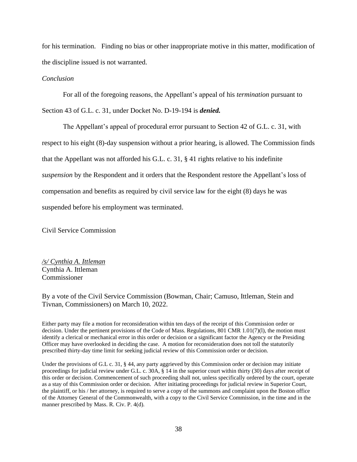for his termination. Finding no bias or other inappropriate motive in this matter, modification of the discipline issued is not warranted.

# *Conclusion*

For all of the foregoing reasons, the Appellant's appeal of his *termination* pursuant to Section 43 of G.L. c. 31, under Docket No. D-19-194 is *denied.*

The Appellant's appeal of procedural error pursuant to Section 42 of G.L. c. 31, with respect to his eight (8)-day suspension without a prior hearing, is allowed. The Commission finds that the Appellant was not afforded his G.L. c. 31, § 41 rights relative to his indefinite *suspension* by the Respondent and it orders that the Respondent restore the Appellant's loss of compensation and benefits as required by civil service law for the eight (8) days he was suspended before his employment was terminated.

Civil Service Commission

*/s/ Cynthia A. Ittleman* Cynthia A. Ittleman Commissioner

By a vote of the Civil Service Commission (Bowman, Chair; Camuso, Ittleman, Stein and Tivnan, Commissioners) on March 10, 2022.

Either party may file a motion for reconsideration within ten days of the receipt of this Commission order or decision. Under the pertinent provisions of the Code of Mass. Regulations, 801 CMR 1.01(7)(l), the motion must identify a clerical or mechanical error in this order or decision or a significant factor the Agency or the Presiding Officer may have overlooked in deciding the case. A motion for reconsideration does not toll the statutorily prescribed thirty-day time limit for seeking judicial review of this Commission order or decision.

Under the provisions of G.L c. 31, § 44, any party aggrieved by this Commission order or decision may initiate proceedings for judicial review under G.L. c. 30A, § 14 in the superior court within thirty (30) days after receipt of this order or decision. Commencement of such proceeding shall not, unless specifically ordered by the court, operate as a stay of this Commission order or decision. After initiating proceedings for judicial review in Superior Court, the plaintiff, or his / her attorney, is required to serve a copy of the summons and complaint upon the Boston office of the Attorney General of the Commonwealth, with a copy to the Civil Service Commission, in the time and in the manner prescribed by Mass. R. Civ. P. 4(d).